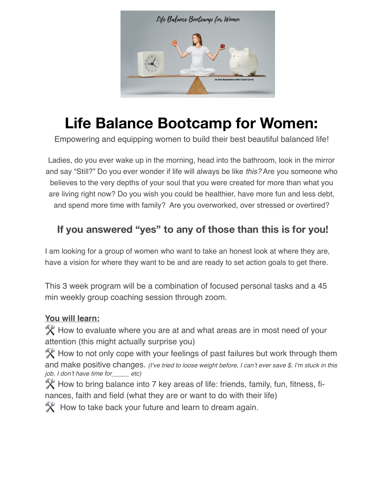

# **Life Balance Bootcamp for Women:**

Empowering and equipping women to build their best beautiful balanced life!

Ladies, do you ever wake up in the morning, head into the bathroom, look in the mirror and say "Still?" Do you ever wonder if life will always be like *this?* Are you someone who believes to the very depths of your soul that you were created for more than what you are living right now? Do you wish you could be healthier, have more fun and less debt, and spend more time with family? Are you overworked, over stressed or overtired?

## **If you answered "yes" to any of those than this is for you!**

I am looking for a group of women who want to take an honest look at where they are, have a vision for where they want to be and are ready to set action goals to get there.

This 3 week program will be a combination of focused personal tasks and a 45 min weekly group coaching session through zoom.

#### **You will learn:**

 How to evaluate where you are at and what areas are in most need of your attention (this might actually surprise you)

 $\mathbb X$  How to not only cope with your feelings of past failures but work through them and make positive changes. *(I've tried to loose weight before, I can't ever save \$, I'm stuck in this job, I don't have time for\_\_\_\_\_ etc)*

 $\mathbb X$  How to bring balance into 7 key areas of life: friends, family, fun, fitness, finances, faith and field (what they are or want to do with their life)

 $\mathbb X$  How to take back your future and learn to dream again.